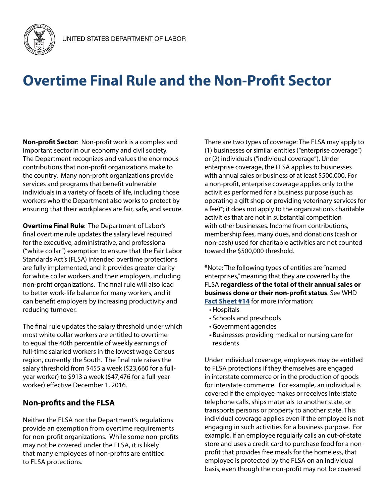

## **Overtime Final Rule and the Non-Profit Sector**

**Non-profit Sector**: Non-profit work is a complex and important sector in our economy and civil society. The Department recognizes and values the enormous contributions that non-profit organizations make to the country. Many non-profit organizations provide services and programs that benefit vulnerable individuals in a variety of facets of life, including those workers who the Department also works to protect by ensuring that their workplaces are fair, safe, and secure.

**Overtime Final Rule**: The Department of Labor's final overtime rule updates the salary level required for the executive, administrative, and professional ("white collar") exemption to ensure that the Fair Labor Standards Act's (FLSA) intended overtime protections are fully implemented, and it provides greater clarity for white collar workers and their employers, including non-profit organizations. The final rule will also lead to better work-life balance for many workers, and it can benefit employers by increasing productivity and reducing turnover.

The final rule updates the salary threshold under which most white collar workers are entitled to overtime to equal the 40th percentile of weekly earnings of full-time salaried workers in the lowest wage Census region, currently the South. The final rule raises the salary threshold from \$455 a week (\$23,660 for a fullyear worker) to \$913 a week (\$47,476 for a full-year worker) effective December 1, 2016.

## **Non-profits and the FLSA**

Neither the FLSA nor the Department's regulations provide an exemption from overtime requirements for non-profit organizations. While some non-profits may not be covered under the FLSA, it is likely that many employees of non-profits are entitled to FLSA protections.

There are two types of coverage: The FLSA may apply to (1) businesses or similar entities ("enterprise coverage") or (2) individuals ("individual coverage"). Under enterprise coverage, the FLSA applies to businesses with annual sales or business of at least \$500,000. For a non-profit, enterprise coverage applies only to the activities performed for a business purpose (such as operating a gift shop or providing veterinary services for a fee)\*; it does not apply to the organization's charitable activities that are not in substantial competition with other businesses. Income from contributions, membership fees, many dues, and donations (cash or non-cash) used for charitable activities are not counted toward the \$500,000 threshold.

\*Note: The following types of entities are "named enterprises," meaning that they are covered by the FLSA **regardless of the total of their annual sales or business done or their non-profit status**. See WHD **[Fact Sheet #14](https://www.dol.gov/whd/regs/compliance/whdfs14.pdf)** for more information:

- Hospitals
- Schools and preschools
- Government agencies
- Businesses providing medical or nursing care for residents

Under individual coverage, employees may be entitled to FLSA protections if they themselves are engaged in interstate commerce or in the production of goods for interstate commerce. For example, an individual is covered if the employee makes or receives interstate telephone calls, ships materials to another state, or transports persons or property to another state. This individual coverage applies even if the employee is not engaging in such activities for a business purpose. For example, if an employee regularly calls an out-of-state store and uses a credit card to purchase food for a nonprofit that provides free meals for the homeless, that employee is protected by the FLSA on an individual basis, even though the non-profit may not be covered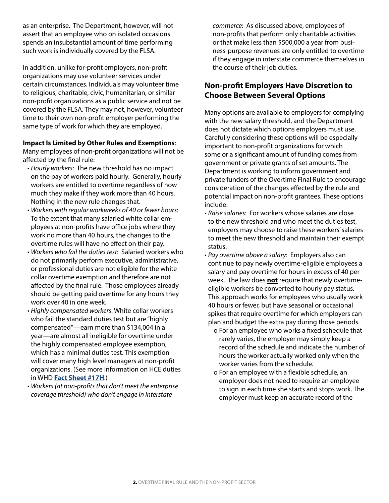as an enterprise. The Department, however, will not assert that an employee who on isolated occasions spends an insubstantial amount of time performing such work is individually covered by the FLSA.

In addition, unlike for-profit employers, non-profit organizations may use volunteer services under certain circumstances. Individuals may volunteer time to religious, charitable, civic, humanitarian, or similar non-profit organizations as a public service and not be covered by the FLSA. They may not, however, volunteer time to their own non-profit employer performing the same type of work for which they are employed.

## **Impact Is Limited by Other Rules and Exemptions**:

Many employees of non-profit organizations will not be affected by the final rule:

- *Hourly workers*: The new threshold has no impact on the pay of workers paid hourly. Generally, hourly workers are entitled to overtime regardless of how much they make if they work more than 40 hours. Nothing in the new rule changes that.
- *Workers with regular workweeks of 40 or fewer hours*: To the extent that many salaried white collar employees at non-profits have office jobs where they work no more than 40 hours, the changes to the overtime rules will have no effect on their pay.
- *Workers who fail the duties test*: Salaried workers who do not primarily perform executive, administrative, or professional duties are not eligible for the white collar overtime exemption and therefore are not affected by the final rule. Those employees already should be getting paid overtime for any hours they work over 40 in one week.
- *Highly compensated workers*: White collar workers who fail the standard duties test but are "highly compensated"—earn more than \$134,004 in a year—are almost all ineligible for overtime under the highly compensated employee exemption, which has a minimal duties test. This exemption will cover many high level managers at non-profit organizations. (See more information on HCE duties in WHD **[Fact Sheet #17H](https://www.dol.gov/whd/overtime/fs17h_highly_comp.pdf)**.)
- *Workers (at non-profits that don't meet the enterprise coverage threshold) who don't engage in interstate*

*commerce*: As discussed above, employees of non-profits that perform only charitable activities or that make less than \$500,000 a year from business-purpose revenues are only entitled to overtime if they engage in interstate commerce themselves in the course of their job duties.

## **Non-profit Employers Have Discretion to Choose Between Several Options**

Many options are available to employers for complying with the new salary threshold, and the Department does not dictate which options employers must use. Carefully considering these options will be especially important to non-profit organizations for which some or a significant amount of funding comes from government or private grants of set amounts. The Department is working to inform government and private funders of the Overtime Final Rule to encourage consideration of the changes effected by the rule and potential impact on non-profit grantees. These options include:

- *Raise salaries*: For workers whose salaries are close to the new threshold and who meet the duties test, employers may choose to raise these workers' salaries to meet the new threshold and maintain their exempt status.
- *Pay overtime above a salary*: Employers also can continue to pay newly overtime-eligible employees a salary and pay overtime for hours in excess of 40 per week. The law does **not** require that newly overtimeeligible workers be converted to hourly pay status. This approach works for employees who usually work 40 hours or fewer, but have seasonal or occasional spikes that require overtime for which employers can plan and budget the extra pay during those periods.
	- o For an employee who works a fixed schedule that rarely varies, the employer may simply keep a record of the schedule and indicate the number of hours the worker actually worked only when the worker varies from the schedule.
	- o For an employee with a flexible schedule, an employer does not need to require an employee to sign in each time she starts and stops work. The employer must keep an accurate record of the